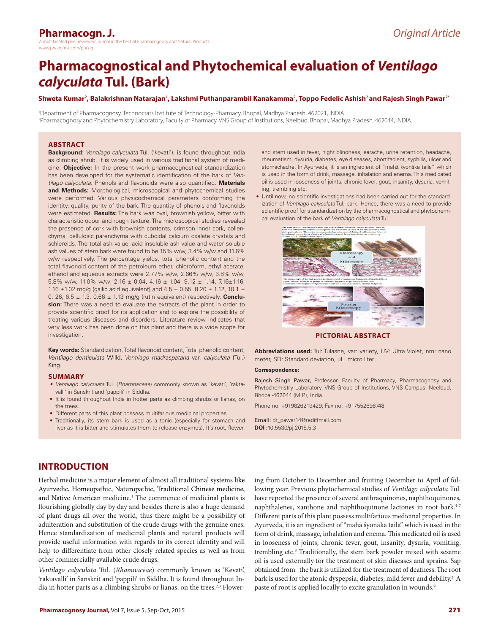# **Pharmacogn. J.**

the field of Pharmacognosy and Natural Products www.phcogfirst.com/phcogi

# **Pharmacognostical and Phytochemical evaluation of** *Ventilago calyculata* **Tul. (Bark)**

**Shweta Kumar<sup>2</sup> , Balakrishnan Natarajan<sup>1</sup> , Lakshmi Puthanparambil Kanakamma<sup>2</sup> , Toppo Fedelic Ashish2 and Rajesh Singh Pawar2\***

1 Department of Pharmacognosy, Technocrats Institute of Technology-Pharmacy, Bhopal, Madhya Pradesh, 462021, INDIA. 2 Pharmacognosy and Phytochemistry Laboratory, Faculty of Pharmacy, VNS Group of Institutions, Neelbud, Bhopal, Madhya Pradesh, 462044, INDIA.

## **ABSTRACT**

**Background:** *Ventilago calyculata* Tul. ('kevati'), is found throughout India as climbing shrub. It is widely used in various traditional system of medicine. **Objective:** In the present work pharmacognostical standardization has been developed for the systematic identification of the bark of *Ventilago calyculata*. Phenols and flavonoids were also quantified. **Materials and Methods:** Morphological, microscopical and phytochemical studies were performed. Various physicochemical parameters conforming the identity, quality, purity of the bark. The quantity of phenols and flavonoids were estimated. **Results:** The bark was oval, brownish yellow, bitter with characteristic odour and rough texture. The microscopical studies revealed the presence of cork with brownish contents, crimson inner cork, collenchyma, cellulosic parenchyma with cuboidal calcium oxalate crystals and schlereids. The total ash value, acid insoluble ash value and water soluble ash values of stem bark were found to be 15% w/w, 3.4% w/w and 11.6% w/w respectively. The percentage yields, total phenolic content and the total flavonoid content of the petroleum ether, chloroform, ethyl acetate, ethanol and aqueous extracts were 2.77% w/w, 2.66% w/w, 3.8% w/w, 5.8% w/w, 11.0% w/w; 2.16 ± 0.04, 4.16 ± 1.04, 9.12 ± 1.14, 7.16±1.16, 1.16  $\pm$ 1.02 mg/g (gallic acid equivalent) and 4.5  $\pm$  0.55, 8.20  $\pm$  1.12, 10.1  $\pm$ 0. 26, 6.5 ± 1.3, 0.66 ± 1.13 mg/g (rutin equivalent) respectively. **Conclusion:** There was a need to evaluate the extracts of the plant in order to provide scientific proof for its application and to explore the possibility of treating various diseases and disorders. Literature review indicates that very less work has been done on this plant and there is a wide scope for investigation.

**Key words:** Standardization, Total flavonoid content, Total phenolic content, *Ventilago denticulata* Willd, *Ventilago madraspatana* var. *calyculata* (Tul.) King.

#### **SUMMARY**

- *• Ventilago calyculata* Tul. (*Rhamnaceae*) commonly known as 'kevati', 'raktavalli' in Sanskrit and 'pappili' in Siddha.
- It is found throughout India in hotter parts as climbing shrubs or lianas, on the trees.
- Different parts of this plant possess multifarious medicinal properties.
- Traditionally, its stem bark is used as a tonic (especially for stomach and liver as it is bitter and stimulates them to release enzymes). It's root, flower,

and stem used in fever, night blindness, earache, urine retention, headache, rheumatism, dysuria, diabetes, eye diseases, abortifacient, syphilis, ulcer and stomachache. In Ayurveda, it is an ingredient of "mahā śyonāka taila" which is used in the form of drink, massage, inhalation and enema. This medicated oil is used in looseness of joints, chronic fever, gout, insanity, dysuria, vomiting, trembling etc.

• Until now, no scientific investigations had been carried out for the standardization of *Ventilago calyculata* Tul. bark. Hence, there was a need to provide scientific proof for standardization by the pharmacognostical and phytochemical evaluation of the bark of *Ventilago calyculata* Tul.



**PICTORIAL ABSTRACT**

**Abbreviations used:** Tul: Tulasne, var: variety, UV: Ultra Violet, nm: nano meter, SD: Standard deviation, µL: micro liter*.*

#### **Correspondence:**

Rajesh Singh Pawar, Professor, Faculty of Pharmacy, Pharmacognosy and Phytochemistry Laboratory, VNS Group of Institutions, VNS Campus, Neelbud, Bhopal-462044 (M.P.), India.

Phone no: +919826219429; Fax no: +917552696748

Email: dr\_pawar14@rediffmail.com **DOI :**10.5530/pj.2015.5.3

# **INTRODUCTION**

Herbal medicine is a major element of almost all traditional systems like Ayurvedic, Homeopathic, Naturopathic, Traditional Chinese medicine, and Native American medicine.<sup>1</sup> The commence of medicinal plants is flourishing globally day by day and besides there is also a huge demand of plant drugs all over the world, thus there might be a possibility of adulteration and substitution of the crude drugs with the genuine ones. Hence standardization of medicinal plants and natural products will provide useful information with regards to its correct identity and will help to differentiate from other closely related species as well as from other commercially available crude drugs.

*Ventilago calyculata* Tul. (*Rhamnaceae*) commonly known as 'Kevati', 'raktavalli' in Sanskrit and 'pappili' in Siddha. It is found throughout India in hotter parts as a climbing shrubs or lianas, on the trees.<sup>2,3</sup> Flower-

ing from October to December and fruiting December to April of following year. Previous phytochemical studies of *Ventilago calyculata* Tul. have reported the presence of several anthraquinones, naphthoquinones, naphthalenes, xanthone and naphthoquinone lactones in root bark.<sup>4-7</sup> Different parts of this plant possess multifarious medicinal properties. In Ayurveda, it is an ingredient of "mahā śyonāka taila" which is used in the form of drink, massage, inhalation and enema. This medicated oil is used in looseness of joints, chronic fever, gout, insanity, dysuria, vomiting, trembling etc.<sup>8</sup> Traditionally, the stem bark powder mixed with sesame oil is used externally for the treatment of skin diseases and sprains. Sap obtained from the bark is utilized for the treatment of deafness.The root bark is used for the atonic dyspepsia, diabetes, mild fever and debility.<sup>3</sup> A paste of root is applied locally to excite granulation in wounds.<sup>9</sup>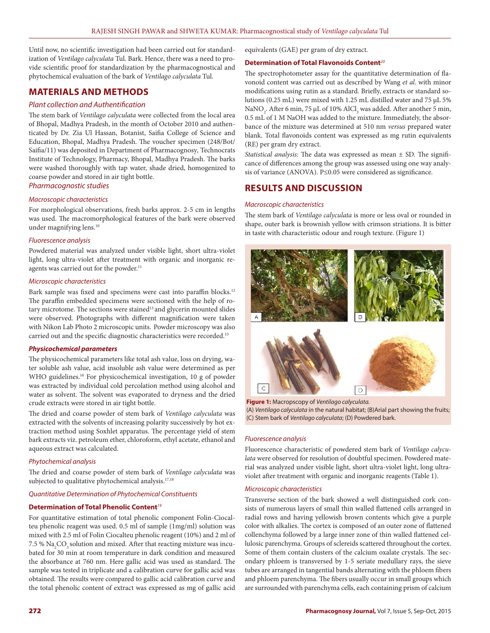Until now, no scientific investigation had been carried out for standardization of *Ventilago calyculata* Tul. Bark. Hence, there was a need to provide scientific proof for standardization by the pharmacognostical and phytochemical evaluation of the bark of *Ventilago calyculata* Tul.

# **MATERIALS AND METHODS**

## *Plant collection and Authentification*

The stem bark of *Ventilago calyculata* were collected from the local area of Bhopal, Madhya Pradesh, in the month of October 2010 and authenticated by Dr. Zia Ul Hassan, Botanist, Saifia College of Science and Education, Bhopal, Madhya Pradesh. The voucher specimen (248/Bot/ Saifia/11) was deposited in Department of Pharmacognosy*,* Technocrats Institute of Technology, Pharmacy, Bhopal, Madhya Pradesh. The barks were washed thoroughly with tap water, shade dried, homogenized to coarse powder and stored in air tight bottle.

*Pharmacognostic studies*

#### *Macroscopic characteristics*

For morphological observations, fresh barks approx. 2-5 cm in lengths was used. The macromorphological features of the bark were observed under magnifying lens.<sup>10</sup>

#### *Fluorescence analysis*

Powdered material was analyzed under visible light, short ultra-violet light, long ultra-violet after treatment with organic and inorganic reagents was carried out for the powder.<sup>11</sup>

#### *Microscopic characteristics*

Bark sample was fixed and specimens were cast into paraffin blocks.<sup>12</sup> The paraffin embedded specimens were sectioned with the help of rotary microtome. The sections were stained<sup>13</sup> and glycerin mounted slides were observed. Photographs with different magnification were taken with Nikon Lab Photo 2 microscopic units. Powder microscopy was also carried out and the specific diagnostic characteristics were recorded.15

#### *Physicochemical parameters*

The physicochemical parameters like total ash value, loss on drying, water soluble ash value, acid insoluble ash value were determined as per WHO guidelines.<sup>16</sup> For physicochemical investigation, 10 g of powder was extracted by individual cold percolation method using alcohol and water as solvent. The solvent was evaporated to dryness and the dried crude extracts were stored in air tight bottle.

The dried and coarse powder of stem bark of *Ventilago calyculata* was extracted with the solvents of increasing polarity successively by hot extraction method using Soxhlet apparatus. The percentage yield of stem bark extracts viz. petroleum ether, chloroform, ethyl acetate, ethanol and aqueous extract was calculated.

#### *Phytochemical analysis*

The dried and coarse powder of stem bark of *Ventilago calyculata* was subjected to qualitative phytochemical analysis.<sup>17,18</sup>

#### *Quantitative Determination of Phytochemical Constituents*

#### **Determination of Total Phenolic Content***<sup>19</sup>*

For quantitative estimation of total phenolic component Folin-Ciocalteu phenolic reagent was used. 0.5 ml of sample (1mg/ml) solution was mixed with 2.5 ml of Folin Ciocalteu phenolic reagent (10%) and 2 ml of 7.5 %  $\mathrm{Na_{2}CO_{_{3}}}$  solution and mixed. After that reacting mixture was incubated for 30 min at room temperature in dark condition and measured the absorbance at 760 nm. Here gallic acid was used as standard. The sample was tested in triplicate and a calibration curve for gallic acid was obtained. The results were compared to gallic acid calibration curve and the total phenolic content of extract was expressed as mg of gallic acid

equivalents (GAE) per gram of dry extract.

#### **Determination of Total Flavonoids Content***<sup>20</sup>*

The spectrophotometer assay for the quantitative determination of flavonoid content was carried out as described by Wang *et al*. with minor modifications using rutin as a standard. Briefly, extracts or standard solutions (0.25 mL) were mixed with 1.25 mL distilled water and 75 μL 5% NaNO<sub>2</sub>. After 6 min, 75 µL of 10% AlCl<sub>3</sub> was added. After another 5 min, 0.5 mL of 1 M NaOH was added to the mixture. Immediately, the absorbance of the mixture was determined at 510 nm *versus* prepared water blank. Total flavonoids content was expressed as mg rutin equivalents (RE) per gram dry extract.

*Statistical analysis:* The data was expressed as mean ± SD. The significance of differences among the group was assessed using one way analysis of variance (ANOVA). P≤0.05 were considered as significance.

# **RESULTS AND DISCUSSION**

#### *Macroscopic characteristics*

The stem bark of *Ventilago calyculata* is more or less oval or rounded in shape, outer bark is brownish yellow with crimson striations. It is bitter in taste with characteristic odour and rough texture. (Figure 1)



**Figure 1:** Macropscopy of *Ventilago calyculata.* (A) *Ventilago calyculata* in the natural habitat; (B)Arial part showing the fruits; (C) Stem bark of *Ventilago calyculata*; (D) Powdered bark.

#### *Fluorescence analysis*

Fluorescence characteristic of powdered stem bark of *Ventilago calyculata* were observed for resolution of doubtful specimen. Powdered material was analyzed under visible light, short ultra-violet light, long ultraviolet after treatment with organic and inorganic reagents (Table 1).

#### *Microscopic characteristics*

Transverse section of the bark showed a well distinguished cork consists of numerous layers of small thin walled flattened cells arranged in radial rows and having yellowish brown contents which give a purple color with alkalies. The cortex is composed of an outer zone of flattened collenchyma followed by a large inner zone of thin walled flattened cellulosic parenchyma. Groups of sclereids scattered throughout the cortex. Some of them contain clusters of the calcium oxalate crystals. The secondary phloem is transversed by 1-5 seriate medullary rays, the sieve tubes are arranged in tangential bands alternating with the phloem fibers and phloem parenchyma. The fibers usually occur in small groups which are surrounded with parenchyma cells, each containing prism of calcium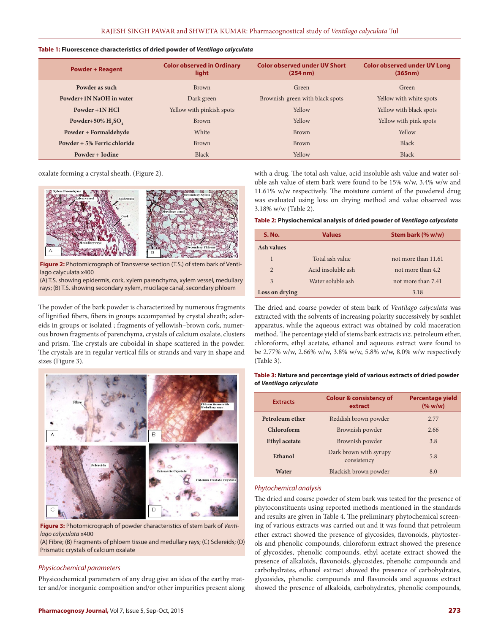#### **Table 1: Fluorescence characteristics of dried powder of** *Ventilago calyculata*

| <b>Powder + Reagent</b>     | <b>Color observed in Ordinary</b><br>light | <b>Color observed under UV Short</b><br>$(254 \text{ nm})$ | <b>Color observed under UV Long</b><br>(365nm) |
|-----------------------------|--------------------------------------------|------------------------------------------------------------|------------------------------------------------|
| Powder as such              | <b>Brown</b>                               | Green                                                      |                                                |
| Powder+1N NaOH in water     | Dark green                                 | Brownish-green with black spots                            | Yellow with white spots                        |
| Powder +1N HCl              | Yellow with pinkish spots                  | Yellow                                                     | Yellow with black spots                        |
| Powder+50% $H2SO4$          | <b>Brown</b>                               | Yellow                                                     | Yellow with pink spots                         |
| Powder + Formaldehyde       | White                                      | <b>Brown</b>                                               | Yellow                                         |
| Powder + 5% Ferric chloride | <b>Brown</b>                               | <b>Brown</b>                                               | Black                                          |
| Powder + Iodine             | Black                                      | Yellow                                                     | <b>Black</b>                                   |

oxalate forming a crystal sheath. (Figure 2).



**Figure 2:** Photomicrograph of Transverse section (T.S.) of stem bark of Ventilago calyculata x400

(A) T.S. showing epidermis, cork, xylem parenchyma, xylem vessel, medullary rays; (B) T.S. showing secondary xylem, mucilage canal, secondary phloem

The powder of the bark powder is characterized by numerous fragments of lignified fibers, fibers in groups accompanied by crystal sheath; sclereids in groups or isolated ; fragments of yellowish–brown cork, numerous brown fragments of parenchyma, crystals of calcium oxalate, clusters and prism. The crystals are cuboidal in shape scattered in the powder. The crystals are in regular vertical fills or strands and vary in shape and sizes (Figure 3).



**Figure 3:** Photomicrograph of powder characteristics of stem bark of *Ventilago calyculata* x400

(A) Fibre; (B) Fragments of phloem tissue and medullary rays; (C) Sclereids; (D) Prismatic crystals of calcium oxalate

#### *Physicochemical parameters*

Physicochemical parameters of any drug give an idea of the earthy matter and/or inorganic composition and/or other impurities present along with a drug. The total ash value, acid insoluble ash value and water soluble ash value of stem bark were found to be 15% w/w, 3.4% w/w and 11.61% w/w respectively. The moisture content of the powdered drug was evaluated using loss on drying method and value observed was 3.18% w/w (Table 2).

#### **Table 2: Physiochemical analysis of dried powder of** *Ventilago calyculata*

| <b>S. No.</b>  | <b>Values</b>      | Stem bark (% w/w)   |
|----------------|--------------------|---------------------|
| Ash values     |                    |                     |
| 1              | Total ash value    | not more than 11.61 |
| 2              | Acid insoluble ash | not more than 4.2   |
| 3              | Water soluble ash  | not more than 7.41  |
| Loss on drying |                    | 3.18                |

The dried and coarse powder of stem bark of *Ventilago calyculata* was extracted with the solvents of increasing polarity successively by soxhlet apparatus, while the aqueous extract was obtained by cold maceration method. The percentage yield of stems bark extracts *viz*. petroleum ether, chloroform, ethyl acetate, ethanol and aqueous extract were found to be 2.77% w/w, 2.66% w/w, 3.8% w/w, 5.8% w/w, 8.0% w/w respectively (Table 3).

#### **Table 3: Nature and percentage yield of various extracts of dried powder of** *Ventilago calyculata*

| <b>Extracts</b>      | <b>Colour &amp; consistency of</b><br>extract | <b>Percentage yield</b><br>(% w/w) |
|----------------------|-----------------------------------------------|------------------------------------|
| Petroleum ether      | Reddish brown powder                          | 2.77                               |
| Chloroform           | Brownish powder                               | 2.66                               |
| <b>Ethyl</b> acetate | Brownish powder                               | 3.8                                |
| Ethanol              | Dark brown with syrupy<br>consistency         | 5.8                                |
| Water                | Blackish brown powder<br>8.0                  |                                    |

#### *Phytochemical analysis*

The dried and coarse powder of stem bark was tested for the presence of phytoconstituents using reported methods mentioned in the standards and results are given in Table 4. The preliminary phytochemical screening of various extracts was carried out and it was found that petroleum ether extract showed the presence of glycosides, flavonoids, phytosterols and phenolic compounds, chloroform extract showed the presence of glycosides, phenolic compounds, ethyl acetate extract showed the presence of alkaloids, flavonoids, glycosides, phenolic compounds and carbohydrates, ethanol extract showed the presence of carbohydrates, glycosides, phenolic compounds and flavonoids and aqueous extract showed the presence of alkaloids, carbohydrates, phenolic compounds,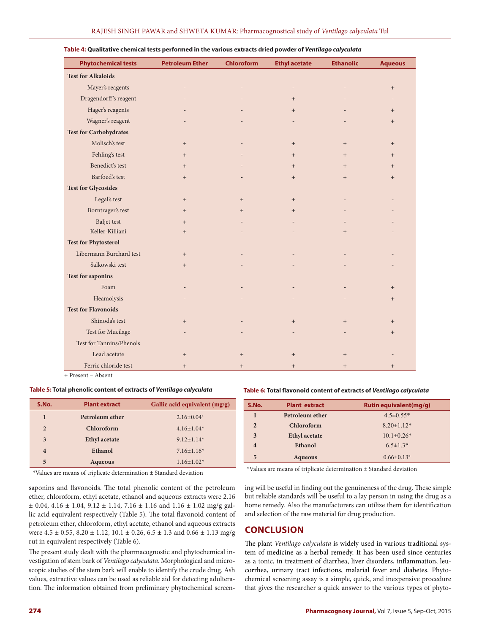| <b>Phytochemical tests</b>    | <b>Petroleum Ether</b> | <b>Chloroform</b> | <b>Ethyl acetate</b>     | <b>Ethanolic</b> | <b>Aqueous</b> |
|-------------------------------|------------------------|-------------------|--------------------------|------------------|----------------|
| <b>Test for Alkaloids</b>     |                        |                   |                          |                  |                |
| Mayer's reagents              |                        |                   | $\overline{\phantom{a}}$ |                  | $+$            |
| Dragendorff's reagent         |                        |                   | $+$                      |                  |                |
| Hager's reagents              |                        |                   | $+$                      |                  | $+$            |
| Wagner's reagent              |                        |                   |                          |                  | $+$            |
| <b>Test for Carbohydrates</b> |                        |                   |                          |                  |                |
| Molisch's test                | $+$                    |                   | $+$                      | $+$              | $+$            |
| Fehling's test                | $+$                    |                   | $+$                      | $+$              | $+$            |
| Benedict's test               | $+$                    |                   | $+$                      | $+$              | $+$            |
| Barfoed's test                | $+$                    |                   | $+$                      | $+$              | $+$            |
| <b>Test for Glycosides</b>    |                        |                   |                          |                  |                |
| Legal's test                  | $+$                    | $+$               | $+$                      |                  |                |
| Borntrager's test             | $+$                    | $+$               | $+$                      |                  |                |
| <b>Baljet</b> test            | $+$                    |                   |                          |                  |                |
| Keller-Killiani               | $+$                    |                   |                          | $+$              |                |
| <b>Test for Phytosterol</b>   |                        |                   |                          |                  |                |
| Libermann Burchard test       | $+$                    |                   |                          |                  |                |
| Salkowski test                | $+$                    |                   |                          |                  |                |
| <b>Test for saponins</b>      |                        |                   |                          |                  |                |
| Foam                          |                        |                   |                          |                  | $+$            |
| Heamolysis                    |                        |                   |                          |                  | $+$            |
| <b>Test for Flavonoids</b>    |                        |                   |                          |                  |                |
| Shinoda's test                | $+$                    |                   | $+$                      | $+$              | $^{+}$         |
| Test for Mucilage             |                        |                   |                          |                  | $+$            |
| Test for Tannins/Phenols      |                        |                   |                          |                  |                |
| Lead acetate                  | $+$                    | $+$               | $+$                      | $+$              |                |
| Ferric chloride test          | $+$                    | $+$               | $+$                      | $+$              | $+$            |

#### **Table 4: Qualitative chemical tests performed in the various extracts dried powder of** *Ventilago calyculata*

+ Present – Absent

#### **Table 5: Total phenolic content of extracts of** *Ventilago calyculata*

| S.No.                   | <b>Plant extract</b><br>Gallic acid equivalent $(mg/g)$ |                   |
|-------------------------|---------------------------------------------------------|-------------------|
| 1                       | Petroleum ether                                         | $2.16 \pm 0.04*$  |
| $\overline{2}$          | Chloroform                                              | $4.16 \pm 1.04*$  |
| 3                       | <b>Ethyl</b> acetate                                    | $9.12+1.14*$      |
| $\overline{\mathbf{4}}$ | Ethanol                                                 | $7.16 \pm 1.16^*$ |
| 5                       | <b>Aqueous</b>                                          | $1.16 \pm 1.02^*$ |

\*Values are means of triplicate determination ± Standard deviation

saponins and flavonoids. The total phenolic content of the petroleum ether, chloroform, ethyl acetate, ethanol and aqueous extracts were 2.16  $\pm$  0.04, 4.16  $\pm$  1.04, 9.12  $\pm$  1.14, 7.16  $\pm$  1.16 and 1.16  $\pm$  1.02 mg/g gallic acid equivalent respectively (Table 5). The total flavonoid content of petroleum ether, chloroform, ethyl acetate, ethanol and aqueous extracts were  $4.5 \pm 0.55$ ,  $8.20 \pm 1.12$ ,  $10.1 \pm 0.26$ ,  $6.5 \pm 1.3$  and  $0.66 \pm 1.13$  mg/g rut in equivalent respectively (Table 6).

The present study dealt with the pharmacognostic and phytochemical investigation of stem bark of *Ventilago calyculata*. Morphological and microscopic studies of the stem bark will enable to identify the crude drug. Ash values, extractive values can be used as reliable aid for detecting adulteration. The information obtained from preliminary phytochemical screen-

#### **Table 6: Total flavonoid content of extracts of** *Ventilago calyculata*

| S.No.                   | <b>Plant extract</b> | <b>Rutin equivalent(mg/g)</b> |
|-------------------------|----------------------|-------------------------------|
| 1                       | Petroleum ether      | $4.5 \pm 0.55*$               |
| $\overline{2}$          | Chloroform           | $8.20 \pm 1.12*$              |
| 3                       | <b>Ethyl</b> acetate | $10.1 \pm 0.26*$              |
| $\overline{\mathbf{4}}$ | Ethanol              | $6.5 \pm 1.3*$                |
| 5                       | <b>Aqueous</b>       | $0.66 \pm 0.13*$              |

\*Values are means of triplicate determination ± Standard deviation

ing will be useful in finding out the genuineness of the drug. These simple but reliable standards will be useful to a lay person in using the drug as a home remedy. Also the manufacturers can utilize them for identification and selection of the raw material for drug production.

### **CONCLUSION**

The plant *Ventilago calyculata* is widely used in various traditional system of medicine as a herbal remedy. It has been used since centuries as a tonic, in treatment of diarrhea, liver disorders, inflammation, leucorrhea, urinary tract infections, malarial fever and diabetes. Phytochemical screening assay is a simple, quick, and inexpensive procedure that gives the researcher a quick answer to the various types of phyto-